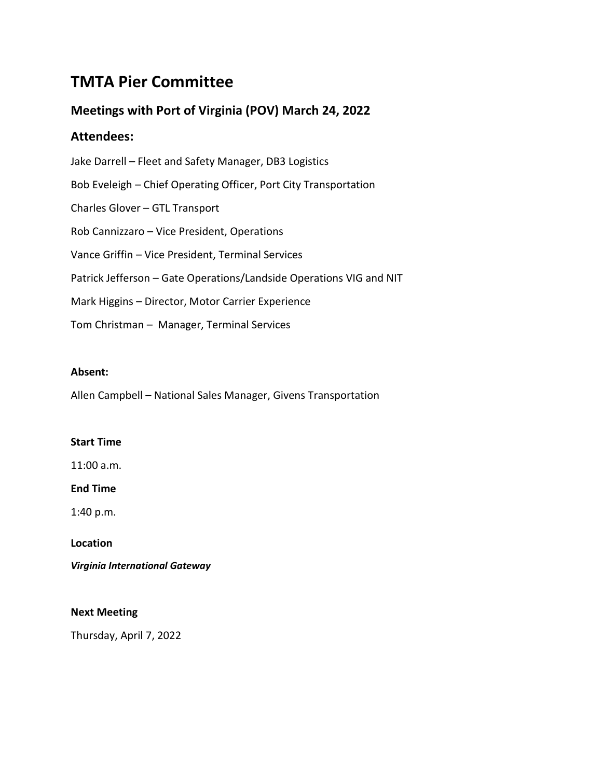# **TMTA Pier Committee**

# **Meetings with Port of Virginia (POV) March 24, 2022**

## **Attendees:**

| Jake Darrell – Fleet and Safety Manager, DB3 Logistics              |
|---------------------------------------------------------------------|
| Bob Eveleigh – Chief Operating Officer, Port City Transportation    |
| Charles Glover - GTL Transport                                      |
| Rob Cannizzaro – Vice President, Operations                         |
| Vance Griffin – Vice President, Terminal Services                   |
| Patrick Jefferson - Gate Operations/Landside Operations VIG and NIT |
| Mark Higgins – Director, Motor Carrier Experience                   |
| Tom Christman - Manager, Terminal Services                          |

## **Absent:**

Allen Campbell – National Sales Manager, Givens Transportation

## **Start Time**

11:00 a.m.

## **End Time**

1:40 p.m.

## **Location**

*Virginia International Gateway*

## **Next Meeting**

Thursday, April 7, 2022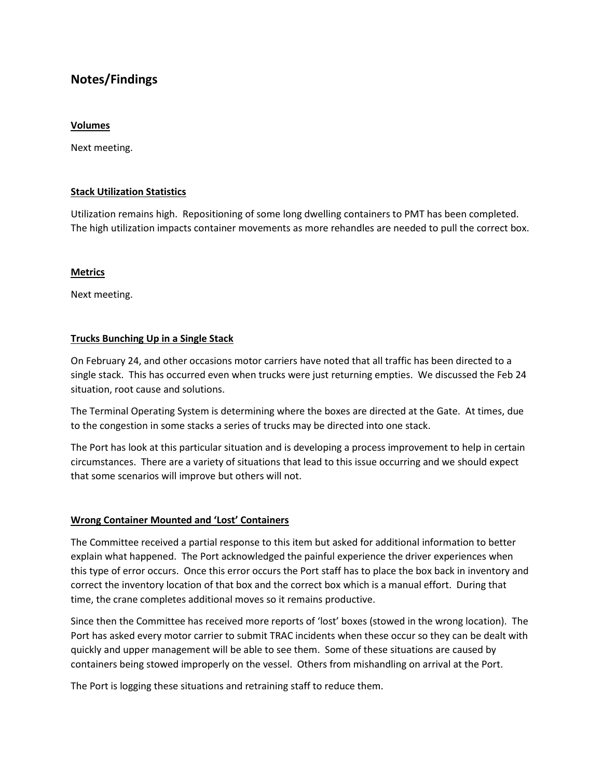## **Notes/Findings**

### **Volumes**

Next meeting.

## **Stack Utilization Statistics**

Utilization remains high. Repositioning of some long dwelling containers to PMT has been completed. The high utilization impacts container movements as more rehandles are needed to pull the correct box.

#### **Metrics**

Next meeting.

## **Trucks Bunching Up in a Single Stack**

On February 24, and other occasions motor carriers have noted that all traffic has been directed to a single stack. This has occurred even when trucks were just returning empties. We discussed the Feb 24 situation, root cause and solutions.

The Terminal Operating System is determining where the boxes are directed at the Gate. At times, due to the congestion in some stacks a series of trucks may be directed into one stack.

The Port has look at this particular situation and is developing a process improvement to help in certain circumstances. There are a variety of situations that lead to this issue occurring and we should expect that some scenarios will improve but others will not.

## **Wrong Container Mounted and 'Lost' Containers**

The Committee received a partial response to this item but asked for additional information to better explain what happened. The Port acknowledged the painful experience the driver experiences when this type of error occurs. Once this error occurs the Port staff has to place the box back in inventory and correct the inventory location of that box and the correct box which is a manual effort. During that time, the crane completes additional moves so it remains productive.

Since then the Committee has received more reports of 'lost' boxes (stowed in the wrong location). The Port has asked every motor carrier to submit TRAC incidents when these occur so they can be dealt with quickly and upper management will be able to see them. Some of these situations are caused by containers being stowed improperly on the vessel. Others from mishandling on arrival at the Port.

The Port is logging these situations and retraining staff to reduce them.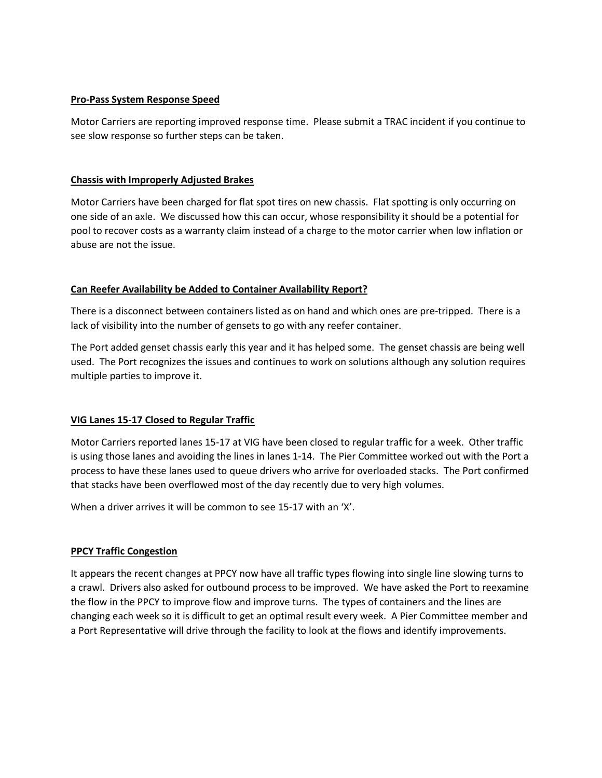## **Pro-Pass System Response Speed**

Motor Carriers are reporting improved response time. Please submit a TRAC incident if you continue to see slow response so further steps can be taken.

## **Chassis with Improperly Adjusted Brakes**

Motor Carriers have been charged for flat spot tires on new chassis. Flat spotting is only occurring on one side of an axle. We discussed how this can occur, whose responsibility it should be a potential for pool to recover costs as a warranty claim instead of a charge to the motor carrier when low inflation or abuse are not the issue.

## **Can Reefer Availability be Added to Container Availability Report?**

There is a disconnect between containers listed as on hand and which ones are pre-tripped. There is a lack of visibility into the number of gensets to go with any reefer container.

The Port added genset chassis early this year and it has helped some. The genset chassis are being well used. The Port recognizes the issues and continues to work on solutions although any solution requires multiple parties to improve it.

## **VIG Lanes 15-17 Closed to Regular Traffic**

Motor Carriers reported lanes 15-17 at VIG have been closed to regular traffic for a week. Other traffic is using those lanes and avoiding the lines in lanes 1-14. The Pier Committee worked out with the Port a process to have these lanes used to queue drivers who arrive for overloaded stacks. The Port confirmed that stacks have been overflowed most of the day recently due to very high volumes.

When a driver arrives it will be common to see 15-17 with an 'X'.

## **PPCY Traffic Congestion**

It appears the recent changes at PPCY now have all traffic types flowing into single line slowing turns to a crawl. Drivers also asked for outbound process to be improved. We have asked the Port to reexamine the flow in the PPCY to improve flow and improve turns. The types of containers and the lines are changing each week so it is difficult to get an optimal result every week. A Pier Committee member and a Port Representative will drive through the facility to look at the flows and identify improvements.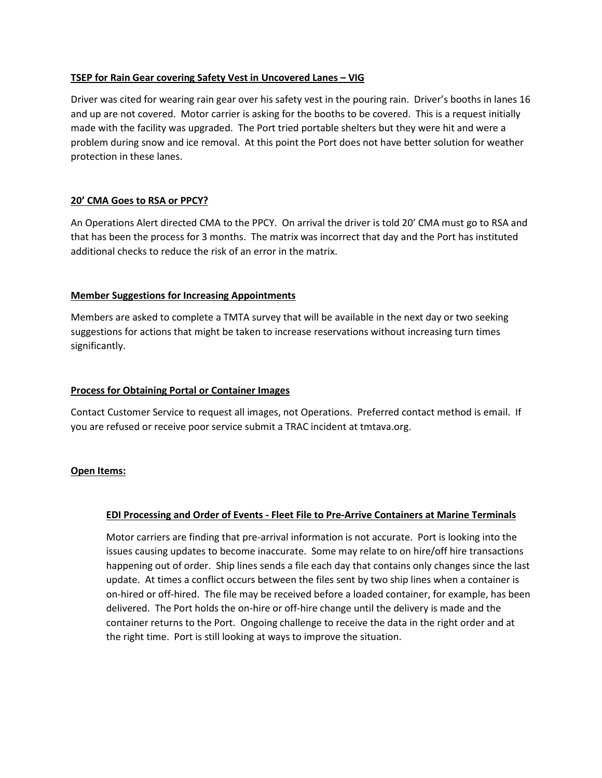## **TSEP for Rain Gear covering Safety Vest in Uncovered Lanes - VIG**

Driver was cited for wearing rain gear over his safety vest in the pouring rain. Driver's booths in lanes 16 and up are not covered. Motor carrier is asking for the booths to be covered. This is a request initially made with the facility was upgraded. The Port tried portable shelters but they were hit and were a problem during snow and ice removal. At this point the Port does not have better solution for weather protection in these lanes.

## **20' CMA Goes to RSA or PPCY?**

An Operations Alert directed CMA to the PPCY. On arrival the driver is told 20' CMA must go to RSA and that has been the process for 3 months. The matrix was incorrect that day and the Port has instituted additional checks to reduce the risk of an error in the matrix.

#### **Member Suggestions for Increasing Appointments**

Members are asked to complete a TMTA survey that will be available in the next day or two seeking suggestions for actions that might be taken to increase reservations without increasing turn times significantly.

#### **Process for Obtaining Portal or Container Images**

Contact Customer Service to request all images, not Operations. Preferred contact method is email. If you are refused or receive poor service submit a TRAC incident at tmtava.org.

#### **Open Items:**

## **EDI Processing and Order of Events - Fleet File to Pre-Arrive Containers at Marine Terminals**

Motor carriers are finding that pre-arrival information is not accurate. Port is looking into the issues causing updates to become inaccurate. Some may relate to on hire/off hire transactions happening out of order. Ship lines sends a file each day that contains only changes since the last update. At times a conflict occurs between the files sent by two ship lines when a container is on-hired or off-hired. The file may be received before a loaded container, for example, has been delivered. The Port holds the on-hire or off-hire change until the delivery is made and the container returns to the Port. Ongoing challenge to receive the data in the right order and at the right time. Port is still looking at ways to improve the situation.